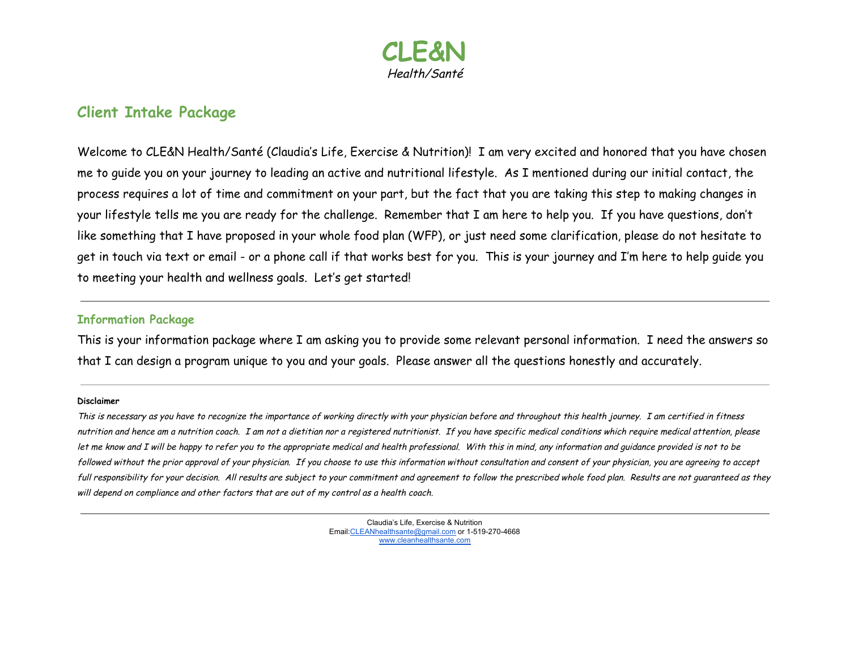

## **Client Intake Package**

Welcome to CLE&N Health/Santé (Claudia's Life, Exercise & Nutrition)! I am very excited and honored that you have chosen me to guide you on your journey to leading an active and nutritional lifestyle. As I mentioned during our initial contact, the process requires a lot of time and commitment on your part, but the fact that you are taking this step to making changes in your lifestyle tells me you are ready for the challenge. Remember that I am here to help you. If you have questions, don't like something that I have proposed in your whole food plan (WFP), or just need some clarification, please do not hesitate to get in touch via text or email - or a phone call if that works best for you. This is your journey and I'm here to help guide you to meeting your health and wellness goals. Let's get started!

#### **Information Package**

This is your information package where I am asking you to provide some relevant personal information. I need the answers so that I can design a program unique to you and your goals. Please answer all the questions honestly and accurately.

#### **Disclaimer**

This is necessary as you have to recognize the importance of working directly with your physician before and throughout this health journey. <sup>I</sup> am certified in fitness nutrition and hence am <sup>a</sup> nutrition coach. I am not <sup>a</sup> dietitian nor <sup>a</sup> registered nutritionist. If you have specific medical conditions which require medical attention, please let me know and I will be happy to refer you to the appropriate medical and health professional. With this in mind, any information and guidance provided is not to be followed without the prior approval of your physician. If you choose to use this information without consultation and consent of your physician, you are agreeing to accept full responsibility for your decision. All results are subject to your commitment and agreement to follow the prescribed whole food plan. Results are not guaranteed as they will depend on compliance and other factors that are out of my control as <sup>a</sup> health coach.

> Claudia's Life, Exercise & Nutrition Email[:CLEANhealthsante@gmail.com](mailto:CLEANhealthsante@gmail.com) or 1-519-270-4668 [www.cleanhealthsante.com](http://www.cleanhealthsante.com/)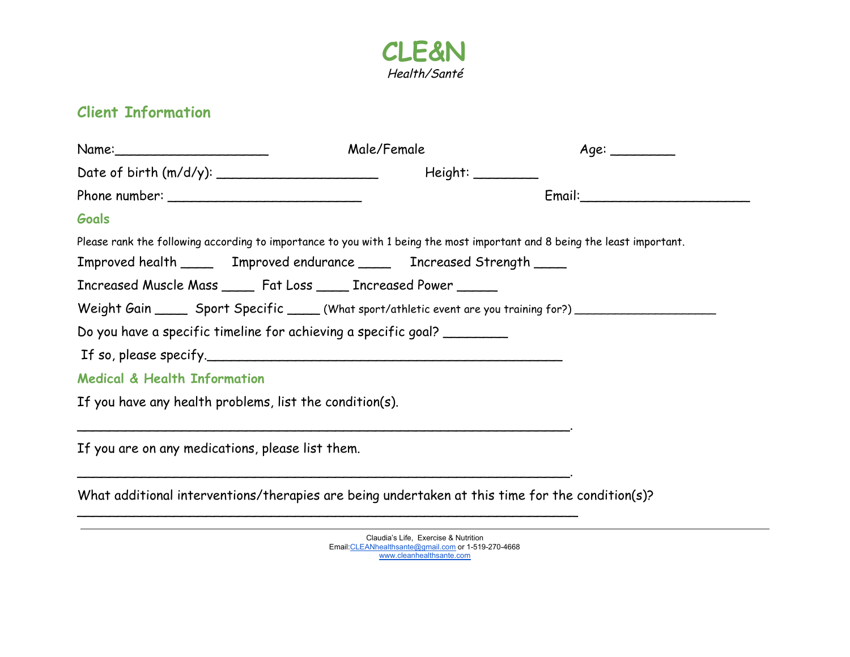

# **Client Information**

|                                                  |                                                                                                 | Male/Female | Age:                                                                                                                      |
|--------------------------------------------------|-------------------------------------------------------------------------------------------------|-------------|---------------------------------------------------------------------------------------------------------------------------|
|                                                  |                                                                                                 |             |                                                                                                                           |
|                                                  |                                                                                                 |             |                                                                                                                           |
| Goals                                            |                                                                                                 |             |                                                                                                                           |
|                                                  |                                                                                                 |             | Please rank the following according to importance to you with 1 being the most important and 8 being the least important. |
|                                                  | Improved health ______ Improved endurance _____ Increased Strength _____                        |             |                                                                                                                           |
|                                                  | Increased Muscle Mass _____ Fat Loss _____ Increased Power _____                                |             |                                                                                                                           |
|                                                  |                                                                                                 |             | Weight Gain ______ Sport Specific _____ (What sport/athletic event are you training for?) ________________                |
|                                                  | Do you have a specific timeline for achieving a specific goal?                                  |             |                                                                                                                           |
|                                                  |                                                                                                 |             |                                                                                                                           |
| <b>Medical &amp; Health Information</b>          |                                                                                                 |             |                                                                                                                           |
|                                                  | If you have any health problems, list the condition(s).                                         |             |                                                                                                                           |
| If you are on any medications, please list them. |                                                                                                 |             |                                                                                                                           |
|                                                  | What additional interventions/therapies are being undertaken at this time for the condition(s)? |             |                                                                                                                           |

Claudia's Life, Exercise & Nutrition Email[:CLEANhealthsante@gmail.com](mailto:CLEANhealthsante@gmail.com) or 1-519-270-4668 [www.cleanhealthsante.com](http://www.cleanhealthsante.com/)

 $\overline{\phantom{a}}$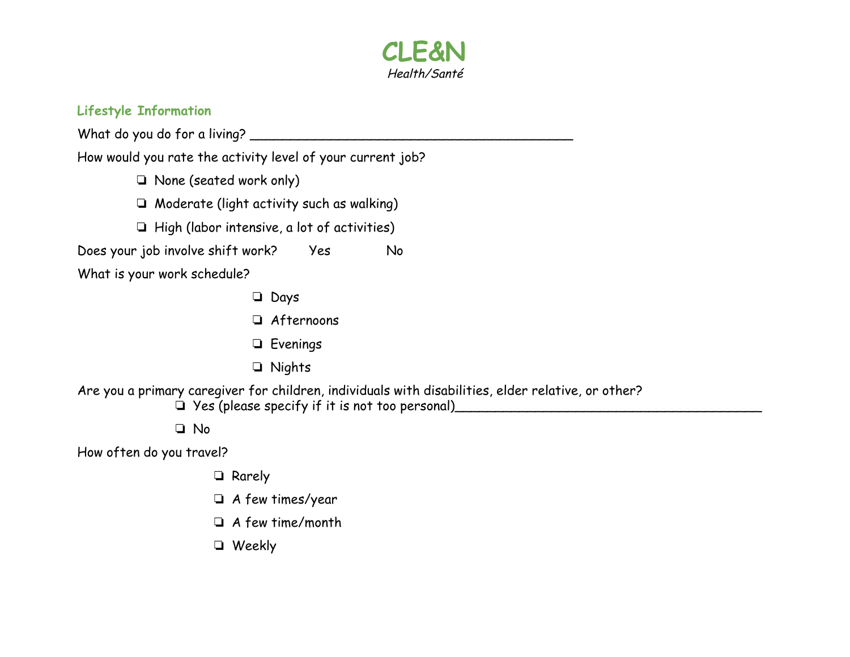

### **Lifestyle Information**

What do you do for a living? \_\_\_\_\_\_\_\_\_\_\_\_\_\_\_\_\_\_\_\_\_\_\_\_\_\_\_\_\_\_\_\_\_\_\_\_\_\_\_\_

How would you rate the activity level of your current job?

- ❏ None (seated work only)
- ❏ Moderate (light activity such as walking)
- ❏ High (labor intensive, a lot of activities)

Does your job involve shift work? Yes No

What is your work schedule?

- ❏ Days
- ❏ Afternoons
- ❏ Evenings
- ❏ Nights

Are you a primary caregiver for children, individuals with disabilities, elder relative, or other?

❏ Yes (please specify if it is not too personal)\_\_\_\_\_\_\_\_\_\_\_\_\_\_\_\_\_\_\_\_\_\_\_\_\_\_\_\_\_\_\_\_\_\_\_\_\_\_

❏ No

How often do you travel?

- ❏ Rarely
- ❏ A few times/year
- ❏ A few time/month
- ❏ Weekly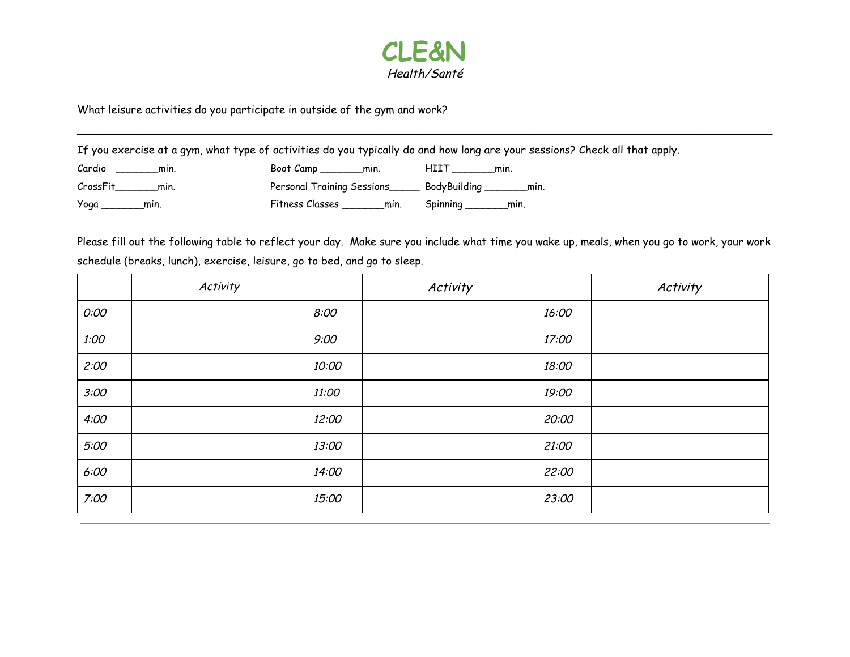

\_\_\_\_\_\_\_\_\_\_\_\_\_\_\_\_\_\_\_\_\_\_\_\_\_\_\_\_\_\_\_\_\_\_\_\_\_\_\_\_\_\_\_\_\_\_\_\_\_\_\_\_\_\_\_\_\_\_\_\_\_\_\_\_\_\_\_\_\_\_\_\_\_\_\_\_\_\_\_\_\_\_\_\_\_\_\_\_\_\_\_\_\_\_

What leisure activities do you participate in outside of the gym and work?

If you exercise at a gym, what type of activities do you typically do and how long are your sessions? Check all that apply.

| Cardio           | Boot Camp                  | <b>HIIT</b>          |
|------------------|----------------------------|----------------------|
| min.             | min.                       | min.                 |
| CrossFit<br>min. | Personal Training Sessions | BodyBuilding<br>min. |
| Yoga             | Fitness Classes            | Spinning             |
| min.             | min.                       | min.                 |

Please fill out the following table to reflect your day. Make sure you include what time you wake up, meals, when you go to work, your work schedule (breaks, lunch), exercise, leisure, go to bed, and go to sleep.

|      | Activity |       | Activity |       | Activity |
|------|----------|-------|----------|-------|----------|
| O:OO |          | 8:00  |          | 16:00 |          |
| 1:00 |          | 9:00  |          | 17:00 |          |
| 2:00 |          | 10:00 |          | 18:00 |          |
| 3:00 |          | 11:00 |          | 19:00 |          |
| 4:00 |          | 12:00 |          | 20:00 |          |
| 5:00 |          | 13:00 |          | 21:00 |          |
| 6:00 |          | 14:00 |          | 22:00 |          |
| 7:00 |          | 15:00 |          | 23:00 |          |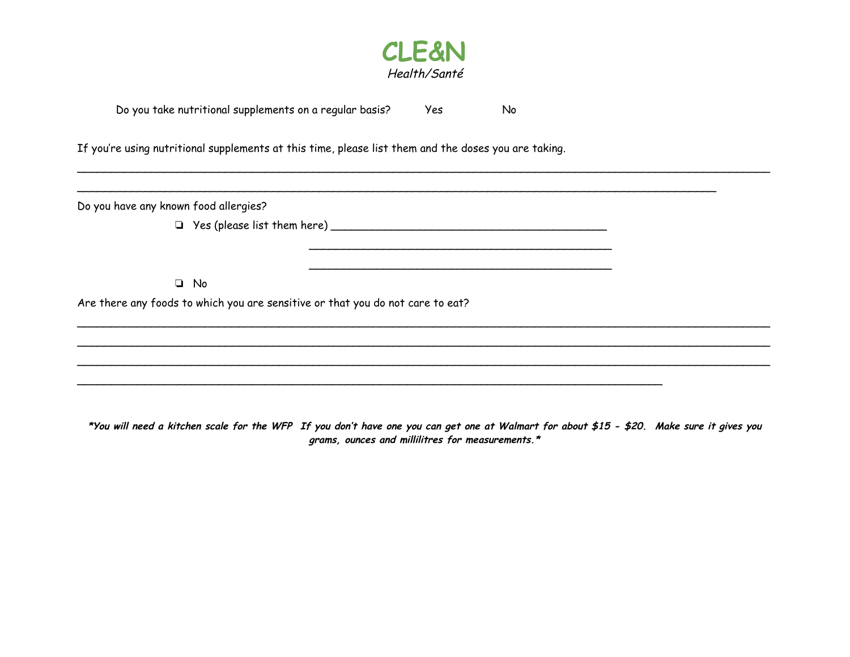

\_\_\_\_\_\_\_\_\_\_\_\_\_\_\_\_\_\_\_\_\_\_\_\_\_\_\_\_\_\_\_\_\_\_\_\_\_\_\_\_\_\_\_\_\_\_\_\_\_\_\_\_\_\_\_\_\_\_\_\_\_\_\_\_\_\_\_\_\_\_\_\_\_\_\_\_\_\_\_\_\_\_\_\_\_\_\_\_\_\_\_\_\_\_\_\_\_\_\_\_\_\_\_

 $\mathcal{L}_\text{max}$  and  $\mathcal{L}_\text{max}$  and  $\mathcal{L}_\text{max}$  and  $\mathcal{L}_\text{max}$  and  $\mathcal{L}_\text{max}$ 

\_\_\_\_\_\_\_\_\_\_\_\_\_\_\_\_\_\_\_\_\_\_\_\_\_\_\_\_\_\_\_\_\_\_\_\_\_\_\_\_\_\_\_\_\_\_\_\_\_\_\_\_\_\_\_\_\_\_\_\_\_\_\_\_\_\_\_\_\_\_\_\_\_\_\_\_\_\_\_\_\_\_\_\_\_\_\_\_\_\_\_\_\_\_\_

| Do you take nutritional supplements on a regular basis? |  | Yes | No. |
|---------------------------------------------------------|--|-----|-----|
|                                                         |  |     |     |

If you're using nutritional supplements at this time, please list them and the doses you are taking.

Do you have any known food allergies?

 $\Box$  Yes (please list them here)  $\Box$ 

❏ No

Are there any foods to which you are sensitive or that you do not care to eat?

**\*You will need a kitchen scale for the WFP If you don't have one you can get one at Walmart for about \$15 - \$20. Make sure it gives you grams, ounces and millilitres for measurements.\***

\_\_\_\_\_\_\_\_\_\_\_\_\_\_\_\_\_\_\_\_\_\_\_\_\_\_\_\_\_\_\_\_\_\_\_\_\_\_\_\_\_\_\_\_\_\_\_\_\_\_\_\_\_\_\_\_\_\_\_\_\_\_\_\_\_\_\_\_\_\_\_\_\_\_\_\_\_\_\_\_\_\_\_\_\_\_\_

\_\_\_\_\_\_\_\_\_\_\_\_\_\_\_\_\_\_\_\_\_\_\_\_\_\_\_\_\_\_\_\_\_\_\_\_\_\_\_\_\_\_\_\_\_\_\_\_\_\_\_\_\_\_\_\_\_\_\_\_\_\_\_\_\_\_\_\_\_\_\_\_\_\_\_\_\_\_\_\_\_\_\_\_\_\_\_\_\_\_\_\_\_\_\_\_\_\_\_\_\_\_\_ \_\_\_\_\_\_\_\_\_\_\_\_\_\_\_\_\_\_\_\_\_\_\_\_\_\_\_\_\_\_\_\_\_\_\_\_\_\_\_\_\_\_\_\_\_\_\_\_\_\_\_\_\_\_\_\_\_\_\_\_\_\_\_\_\_\_\_\_\_\_\_\_\_\_\_\_\_\_\_\_\_\_\_\_\_\_\_\_\_\_\_\_\_\_\_\_\_\_\_\_\_\_\_ \_\_\_\_\_\_\_\_\_\_\_\_\_\_\_\_\_\_\_\_\_\_\_\_\_\_\_\_\_\_\_\_\_\_\_\_\_\_\_\_\_\_\_\_\_\_\_\_\_\_\_\_\_\_\_\_\_\_\_\_\_\_\_\_\_\_\_\_\_\_\_\_\_\_\_\_\_\_\_\_\_\_\_\_\_\_\_\_\_\_\_\_\_\_\_\_\_\_\_\_\_\_\_